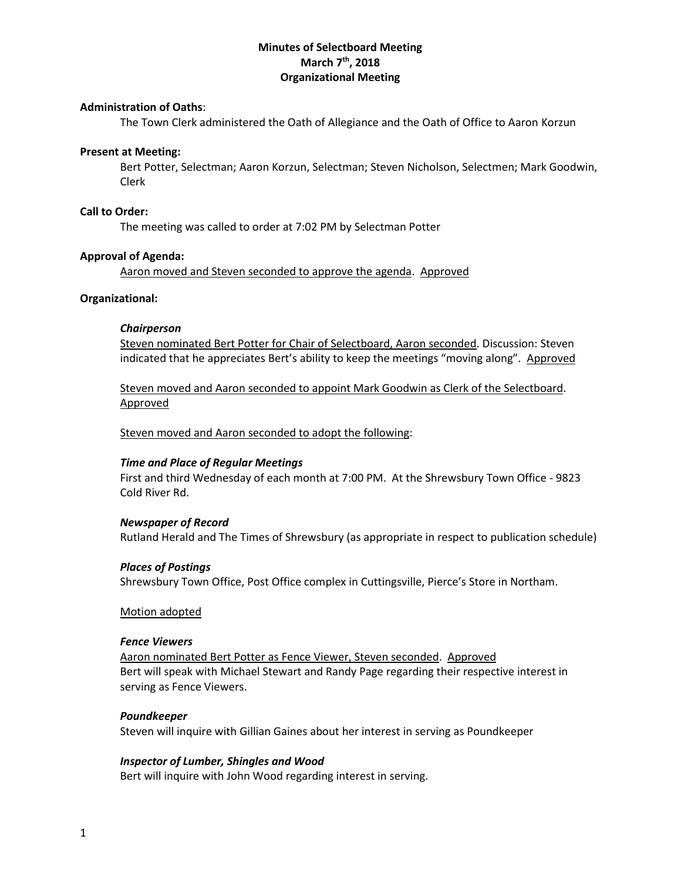# **Minutes of Selectboard Meeting March 7 th, 2018 Organizational Meeting**

## **Administration of Oaths**:

The Town Clerk administered the Oath of Allegiance and the Oath of Office to Aaron Korzun

#### **Present at Meeting:**

Bert Potter, Selectman; Aaron Korzun, Selectman; Steven Nicholson, Selectmen; Mark Goodwin, Clerk

#### **Call to Order:**

The meeting was called to order at 7:02 PM by Selectman Potter

### **Approval of Agenda:**

Aaron moved and Steven seconded to approve the agenda. Approved

### **Organizational:**

#### *Chairperson*

Steven nominated Bert Potter for Chair of Selectboard, Aaron seconded. Discussion: Steven indicated that he appreciates Bert's ability to keep the meetings "moving along". Approved

Steven moved and Aaron seconded to appoint Mark Goodwin as Clerk of the Selectboard. Approved

Steven moved and Aaron seconded to adopt the following:

#### *Time and Place of Regular Meetings*

First and third Wednesday of each month at 7:00 PM. At the Shrewsbury Town Office - 9823 Cold River Rd.

#### *Newspaper of Record*

Rutland Herald and The Times of Shrewsbury (as appropriate in respect to publication schedule)

#### *Places of Postings*

Shrewsbury Town Office, Post Office complex in Cuttingsville, Pierce's Store in Northam.

#### Motion adopted

#### *Fence Viewers*

Aaron nominated Bert Potter as Fence Viewer, Steven seconded. Approved Bert will speak with Michael Stewart and Randy Page regarding their respective interest in serving as Fence Viewers.

#### *Poundkeeper*

Steven will inquire with Gillian Gaines about her interest in serving as Poundkeeper

#### *Inspector of Lumber, Shingles and Wood*

Bert will inquire with John Wood regarding interest in serving.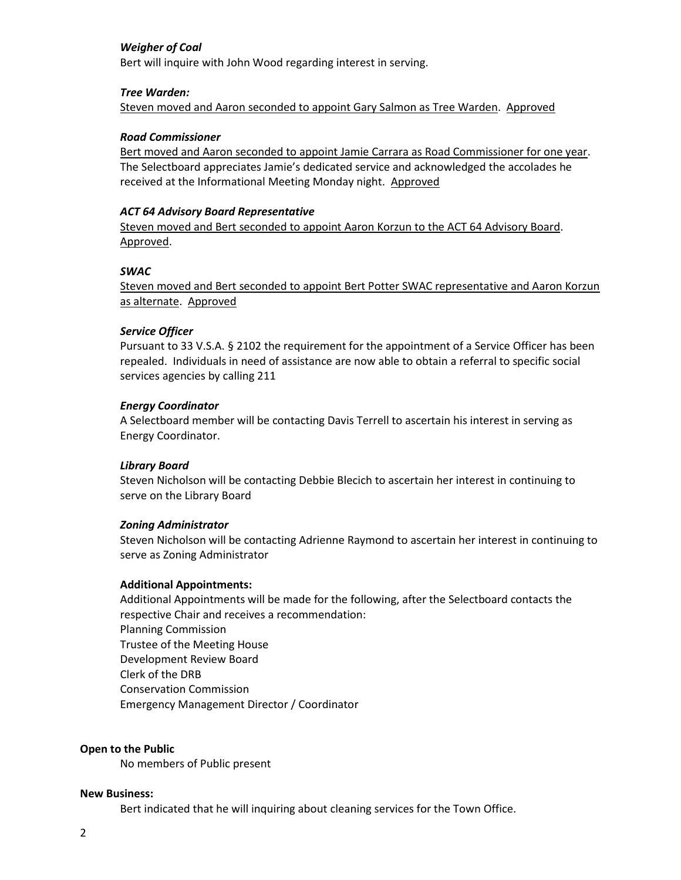# *Weigher of Coal*

Bert will inquire with John Wood regarding interest in serving.

## *Tree Warden:*

Steven moved and Aaron seconded to appoint Gary Salmon as Tree Warden. Approved

## *Road Commissioner*

Bert moved and Aaron seconded to appoint Jamie Carrara as Road Commissioner for one year. The Selectboard appreciates Jamie's dedicated service and acknowledged the accolades he received at the Informational Meeting Monday night. Approved

## *ACT 64 Advisory Board Representative*

Steven moved and Bert seconded to appoint Aaron Korzun to the ACT 64 Advisory Board. Approved.

## *SWAC*

Steven moved and Bert seconded to appoint Bert Potter SWAC representative and Aaron Korzun as alternate. Approved

## *Service Officer*

Pursuant to 33 V.S.A. § 2102 the requirement for the appointment of a Service Officer has been repealed. Individuals in need of assistance are now able to obtain a referral to specific social services agencies by calling 211

## *Energy Coordinator*

A Selectboard member will be contacting Davis Terrell to ascertain his interest in serving as Energy Coordinator.

## *Library Board*

Steven Nicholson will be contacting Debbie Blecich to ascertain her interest in continuing to serve on the Library Board

### *Zoning Administrator*

Steven Nicholson will be contacting Adrienne Raymond to ascertain her interest in continuing to serve as Zoning Administrator

### **Additional Appointments:**

Additional Appointments will be made for the following, after the Selectboard contacts the respective Chair and receives a recommendation: Planning Commission Trustee of the Meeting House Development Review Board Clerk of the DRB Conservation Commission Emergency Management Director / Coordinator

### **Open to the Public**

No members of Public present

### **New Business:**

Bert indicated that he will inquiring about cleaning services for the Town Office.